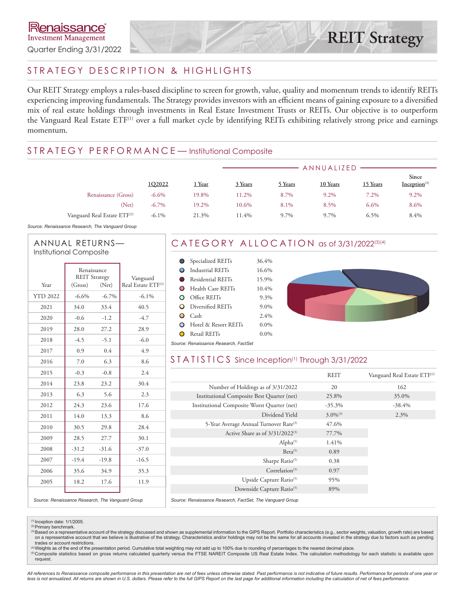## STRATEGY DESCRIPTION & HIGHLIGHTS

Our REIT Strategy employs a rules-based discipline to screen for growth, value, quality and momentum trends to identify REITs experiencing improving fundamentals. The Strategy provides investors with an efficient means of gaining exposure to a diversified mix of real estate holdings through investments in Real Estate Investment Trusts or REITs. Our objective is to outperform the Vanguard Real Estate ETF<sup>(1)</sup> over a full market cycle by identifying REITs exhibiting relatively strong price and earnings momentum.

### STRATEGY PERFORMANCE-Institutional Composite

|                                         |          |        | ANNUALIZED |         |          |          |                                   |  |
|-----------------------------------------|----------|--------|------------|---------|----------|----------|-----------------------------------|--|
|                                         | 1Q2022   | 1 Year | 3 Years    | 5 Years | 10 Years | 15 Years | Since<br>Inception <sup>(1)</sup> |  |
| Renaissance (Gross)                     | $-6.6\%$ | 19.8%  | 11.2%      | 8.7%    | 9.2%     | 7.2%     | 9.2%                              |  |
| (Net)                                   | $-6.7\%$ | 19.2%  | 10.6%      | 8.1%    | 8.5%     | $6.6\%$  | 8.6%                              |  |
| Vanguard Real Estate ETF <sup>(2)</sup> | $-6.1\%$ | 21.3%  | 11.4%      | 9.7%    | 9.7%     | $6.5\%$  | 8.4%                              |  |

*Source: Renaissance Research, The Vanguard Group*

#### ANNUAL RETURNS— Institutional Composite

|                 | Renaissance<br><b>REIT Strategy</b> |          | Vanguard                       |
|-----------------|-------------------------------------|----------|--------------------------------|
| Year            | (Gross)                             | (Net)    | Real Estate ETF <sup>(2)</sup> |
| <b>YTD 2022</b> | $-6.6%$                             | $-6.7\%$ | $-6.1\%$                       |
| 2021            | 34.0                                | 33.4     | 40.5                           |
| 2020            | $-0.6$                              | $-1.2$   | $-4.7$                         |
| 2019            | 28.0                                | 27.2     | 28.9                           |
| 2018            | $-4.5$                              | $-5.1$   | $-6.0$                         |
| 2017            | 0.9                                 | 0.4      | 4.9                            |
| 2016            | 7.0                                 | 6.3      | 8.6                            |
| 2015            | $-0.3$                              | $-0.8$   | 2.4                            |
| 2014            | 23.8                                | 23.2     | 30.4                           |
| 2013            | 6.3                                 | 5.6      | 2.3                            |
| 2012            | 24.3                                | 23.6     | 17.6                           |
| 2011            | 14.0                                | 13.3     | 8.6                            |
| 2010            | 30.5                                | 29.8     | 28.4                           |
| 2009            | 28.5                                | 27.7     | 30.1                           |
| 2008            | $-31.2$                             | $-31.6$  | $-37.0$                        |
| 2007            | $-19.4$                             | $-19.8$  | $-16.5$                        |
| 2006            | 35.6                                | 34.9     | 35.3                           |
| 2005            | 18.2                                | 17.6     | 11.9                           |
|                 |                                     |          |                                |

# CATEGORY ALLOCATION as of 3/31/2022<sup>(3)(4)</sup>

|                                     | Specialized REITs             | 36.4%   |
|-------------------------------------|-------------------------------|---------|
|                                     | <b>O</b> Industrial REITs     | 16.6%   |
|                                     | Residential REITs             | 15.9%   |
|                                     | <b>O</b> Health Care REITs    | 10.4%   |
|                                     | $O$ Office REITs              | 9.3%    |
|                                     | <b>O</b> Diversified REITs    | 9.0%    |
| O                                   | - Cash                        | 2.4%    |
|                                     | <b>O</b> Hotel & Resort REITs | $0.0\%$ |
| O                                   | Retail REITs                  | $0.0\%$ |
| wwaa: Danaisaanaa Daasaysh, FastCat |                               |         |



#### *Source: Renaissance Research, FactSet*

### STATISTICS Since Inception<sup>(1)</sup> Through 3/31/2022

|                                                           | <b>REIT</b>   | Vanguard Real Estate ETF <sup>(2)</sup> |
|-----------------------------------------------------------|---------------|-----------------------------------------|
| Number of Holdings as of 3/31/2022                        | 20            | 162                                     |
| Institutional Composite Best Quarter (net)                | 25.8%         | 35.0%                                   |
| Institutional Composite Worst Quarter (net)               | $-35.3\%$     | $-38.4%$                                |
| Dividend Yield                                            | $3.0\%^{(3)}$ | 2.3%                                    |
| 5-Year Average Annual Turnover Rate <sup>(3)</sup>        | 47.6%         |                                         |
| Active Share as of $3/31/2022^{(3)}$                      | 77.7%         |                                         |
| Alpha <sup>(5)</sup>                                      | 1.41%         |                                         |
| Beta <sup>(5)</sup>                                       | 0.89          |                                         |
| Sharpe Ratio <sup>(5)</sup>                               | 0.38          |                                         |
| Correlation $(5)$                                         | 0.97          |                                         |
| Upside Capture Ratio <sup>(5)</sup>                       | 95%           |                                         |
| Downside Capture Ratio <sup>(5)</sup>                     | 89%           |                                         |
| Source: Renaissance Research, FactSet, The Vanguard Group |               |                                         |

*Source: Renaissance Research, The Vanguard Group*

<sup>(0</sup> Inception date: 1/1/2005.<br><sup>② Primary benchmark.<br><sup>③</sup>Based on a representative account of the strategy discussed and shown as supplemental information to the GIPS Report. Portfolio characteristics (e.g., sector weight</sup> on a representative account that we believe is illustrative of the strategy. Characteristics and/or holdings may not be the same for all accounts invested in the strategy due to factors such as pending trades or account restrictions.

(4)Weights as of the end of the presentation period. Cumulative total weighting may not add up to 100% due to rounding of percentages to the nearest decimal place. ®Composite statistics based on gross returns calculated quarterly versus the FTSE NAREIT Composite US Real Estate Index. The calculation methodology for each statistic is available upon<br>request.

*All references to Renaissance composite performance in this presentation are net of fees unless otherwise stated. Past performance is not indicative of future results. Performance for periods of one year or*  less is not annualized. All returns are shown in U.S. dollars. Please refer to the full GIPS Report on the last page for additional information including the calculation of net of fees performance.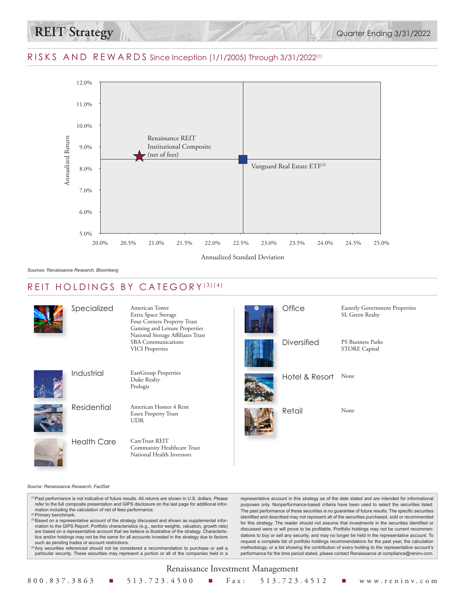



### REIT HOLDINGS BY CATEGORY (3)(4)

|  | Specialized        | American Tower<br>Extra Space Storage<br>Four Corners Property Trust<br>Gaming and Leisure Properties<br>National Storage Affiliates Trust | Office         | <b>Easterly Government Properties</b><br>SL Green Realty |
|--|--------------------|--------------------------------------------------------------------------------------------------------------------------------------------|----------------|----------------------------------------------------------|
|  |                    | <b>SBA</b> Communications<br><b>VICI</b> Properties                                                                                        | Diversified    | <b>PS Business Parks</b><br><b>STORE Capital</b>         |
|  | Industrial         | EastGroup Properties<br>Duke Realty<br>Prologis                                                                                            | Hotel & Resort | None                                                     |
|  | Residential        | American Homes 4 Rent<br><b>Essex Property Trust</b><br><b>UDR</b>                                                                         | Retail         | None                                                     |
|  | <b>Health Care</b> | CareTrust REIT<br>Community Healthcare Trust<br>National Health Investors                                                                  |                |                                                          |

#### *Source: Renaissance Research, FactSet*

(1)Past performance is not indicative of future results. All returns are shown in U.S. dollars. Please refer to the full composite presentation and GIPS disclosure on the last page for additional infor-mation including the calculation of net of fees performance.

(2)Primary benchmark.

<sup>(3)</sup> Based on a representative account of the strategy discussed and shown as supplemental information to the GIPS Report. Portfolio characteristics (e.g., sector weights, valuation, growth rate) are based on a representative account that we believe is illustrative of the strategy. Characteristics and/or holdings may not be the same for all accounts invested in the strategy due to factors such as pending trades or account restrictions.

(4)Any securities referenced should not be considered a recommendation to purchase or sell a particular security. These securities may represent a portion or all of the companies held in a

representative account in this strategy as of the date stated and are intended for informational purposes only. Nonperformance-based criteria have been used to select the securities listed. The past performance of these securities is no guarantee of future results. The specific securities identified and described may not represent all of the securities purchased, sold or recommended for this strategy. The reader should not assume that investments in the securities identified or discussed were or will prove to be profitable. Portfolio holdings may not be current recommendations to buy or sell any security, and may no longer be held in the representative account. To request a complete list of portfolio holdings recommendations for the past year, the calculation methodology, or a list showing the contribution of every holding to the representative account's performance for the time period stated, please contact Renaissance at compliance@reninv.com.

#### Renaissance Investment Management